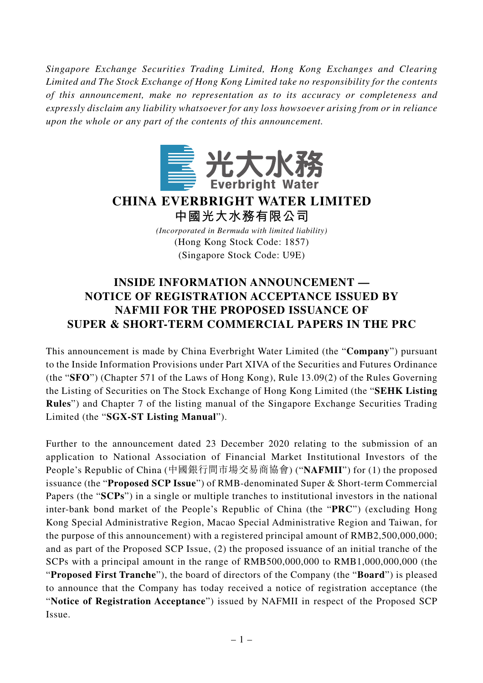*Singapore Exchange Securities Trading Limited, Hong Kong Exchanges and Clearing Limited and The Stock Exchange of Hong Kong Limited take no responsibility for the contents of this announcement, make no representation as to its accuracy or completeness and expressly disclaim any liability whatsoever for any loss howsoever arising from or in reliance upon the whole or any part of the contents of this announcement.*



## **CHINA EVERBRIGHT WATER LIMITED 中國光大水務有限公司**

*(Incorporated in Bermuda with limited liability)* (Hong Kong Stock Code: 1857) (Singapore Stock Code: U9E)

## **INSIDE INFORMATION ANNOUNCEMENT — NOTICE OF REGISTRATION ACCEPTANCE ISSUED BY NAFMII FOR THE PROPOSED ISSUANCE OF SUPER & SHORT-TERM COMMERCIAL PAPERS IN THE PRC**

This announcement is made by China Everbright Water Limited (the "**Company**") pursuant to the Inside Information Provisions under Part XIVA of the Securities and Futures Ordinance (the "**SFO**") (Chapter 571 of the Laws of Hong Kong), Rule 13.09(2) of the Rules Governing the Listing of Securities on The Stock Exchange of Hong Kong Limited (the "**SEHK Listing Rules**") and Chapter 7 of the listing manual of the Singapore Exchange Securities Trading Limited (the "**SGX-ST Listing Manual**").

Further to the announcement dated 23 December 2020 relating to the submission of an application to National Association of Financial Market Institutional Investors of the People's Republic of China (中國銀行間市場交易商協會) ("**NAFMII**") for (1) the proposed issuance (the "**Proposed SCP Issue**") of RMB-denominated Super & Short-term Commercial Papers (the "**SCPs**") in a single or multiple tranches to institutional investors in the national inter-bank bond market of the People's Republic of China (the "**PRC**") (excluding Hong Kong Special Administrative Region, Macao Special Administrative Region and Taiwan, for the purpose of this announcement) with a registered principal amount of RMB2,500,000,000; and as part of the Proposed SCP Issue, (2) the proposed issuance of an initial tranche of the SCPs with a principal amount in the range of RMB500,000,000 to RMB1,000,000,000 (the "**Proposed First Tranche**"), the board of directors of the Company (the "**Board**") is pleased to announce that the Company has today received a notice of registration acceptance (the "**Notice of Registration Acceptance**") issued by NAFMII in respect of the Proposed SCP Issue.